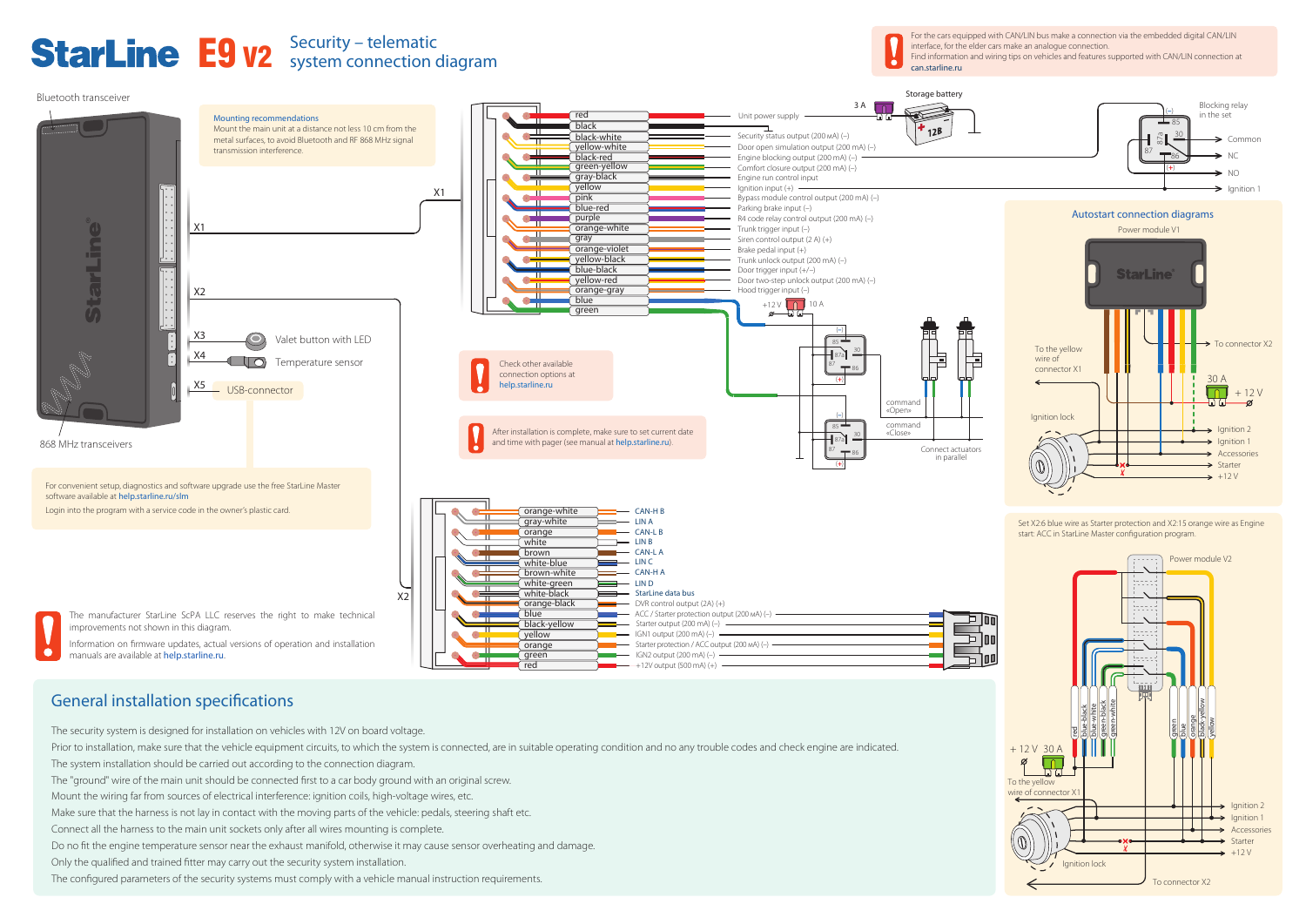For the cars equipped with CAN/LIN bus make a connection via the embedded digital CAN/LIN

interface, for the elder cars make an analogue connection.

# General installation specifications

 $\bullet$ 

The security system is designed for installation on vehicles with 12V on board voltage.

Prior to installation, make sure that the vehicle equipment circuits, to which the system is connected, are in suitable operating condition and no any trouble codes and check engine are indicated.

Mount the wiring far from sources of electrical interference: ignition coils, high-voltage wires, etc.

Make sure that the harness is not lay in contact with the moving parts of the vehicle: pedals, steering shaft etc.

Connect all the harness to the main unit sockets only after all wires mounting is complete.

# E9 v2 Security – telematic



The configured parameters of the security systems must comply with a vehicle manual instruction requirements.